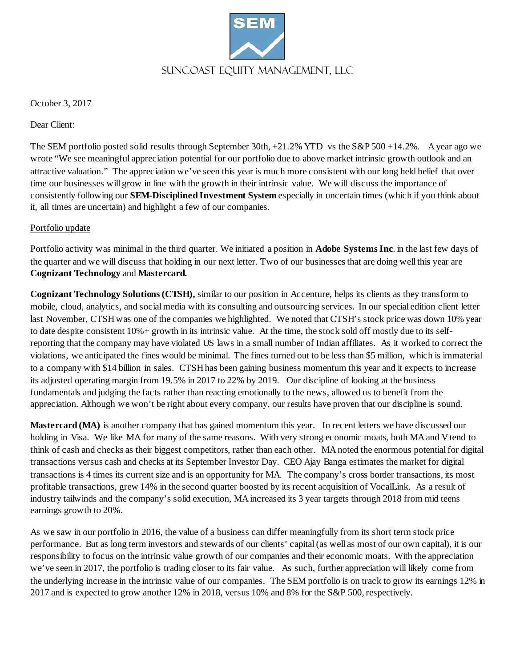

October 3, 2017

Dear Client:

The SEM portfolio posted solid results through September 30th,  $+21.2\%$  YTD vs the S&P 500 +14.2%. A year ago we wrote "We see meaningful appreciation potential for our portfolio due to above market intrinsic growth outlook and an attractive valuation." The appreciation we've seen this year is much more consistent with our long held belief that over time our businesses will grow in line with the growth in their intrinsic value. We will discuss the importance of consistently following our **SEM-Disciplined Investment System** especially in uncertain times (which if you think about it, all times are uncertain) and highlight a few of our companies.

## Portfolio update

Portfolio activity was minimal in the third quarter. We initiated a position in **Adobe Systems Inc**. in the last few days of the quarter and we will discuss that holding in our next letter. Two of our businesses that are doing well this year are **Cognizant Technology** and **Mastercard.**

**Cognizant Technology Solutions (CTSH),** similar to our position in Accenture, helps its clients as they transform to mobile, cloud, analytics, and social media with its consulting and outsourcing services. In our special edition client letter last November, CTSH was one of the companies we highlighted. We noted that CTSH's stock price was down 10% year to date despite consistent 10%+ growth in its intrinsic value. At the time, the stock sold off mostly due to its selfreporting that the company may have violated US laws in a small number of Indian affiliates. As it worked to correct the violations, we anticipated the fines would be minimal. The fines turned out to be less than \$5 million, which is immaterial to a company with \$14 billion in sales. CTSHhas been gaining business momentum this year and it expects to increase its adjusted operating margin from 19.5% in 2017 to 22% by 2019. Our discipline of looking at the business fundamentals and judging the facts rather than reacting emotionally to the news, allowed us to benefit from the appreciation. Although we won't be right about every company, our results have proven that our discipline is sound.

**Mastercard (MA)** is another company that has gained momentum this year. In recent letters we have discussed our holding in Visa. We like MA for many of the same reasons. With very strong economic moats, both MA and V tend to think of cash and checks as their biggest competitors, rather than each other. MA noted the enormous potential for digital transactions versus cash and checks at its September Investor Day. CEO Ajay Banga estimates the market for digital transactions is 4 times its current size and is an opportunity for MA. The company's cross border transactions, its most profitable transactions, grew 14% in the second quarter boosted by its recent acquisition of VocalLink. As a result of industry tailwinds and the company's solid execution, MA increased its 3 year targets through 2018 from mid teens earnings growth to 20%.

As we saw in our portfolio in 2016, the value of a business can differ meaningfully from its short term stock price performance. But as long term investors and stewards of our clients' capital (as well as most of our own capital), it is our responsibility to focus on the intrinsic value growth of our companies and their economic moats. With the appreciation we've seen in 2017, the portfolio is trading closer to its fair value. As such, further appreciation will likely come from the underlying increase in the intrinsic value of our companies. The SEM portfolio is on track to grow its earnings 12% in 2017 and is expected to grow another 12% in 2018, versus 10% and 8% for the S&P 500, respectively.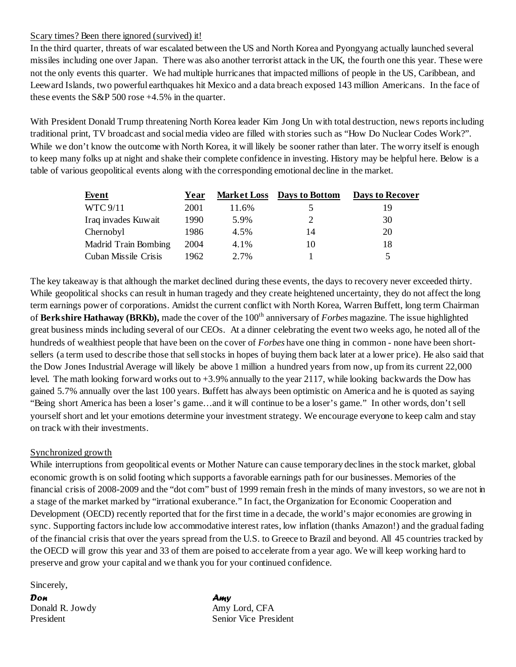## Scary times? Been there ignored (survived) it!

In the third quarter, threats of war escalated between the US and North Korea and Pyongyang actually launched several missiles including one over Japan. There was also another terrorist attack in the UK, the fourth one this year. These were not the only events this quarter. We had multiple hurricanes that impacted millions of people in the US, Caribbean, and Leeward Islands, two powerful earthquakes hit Mexico and a data breach exposed 143 million Americans. In the face of these events the S&P 500 rose +4.5% in the quarter.

With President Donald Trump threatening North Korea leader Kim Jong Un with total destruction, news reports including traditional print, TV broadcast and social media video are filled with stories such as "How Do Nuclear Codes Work?". While we don't know the outcome with North Korea, it will likely be sooner rather than later. The worry itself is enough to keep many folks up at night and shake their complete confidence in investing. History may be helpful here. Below is a table of various geopolitical events along with the corresponding emotional decline in the market.

| Event                       | Year |       | <b>Market Loss</b> Days to Bottom | <b>Days to Recover</b> |
|-----------------------------|------|-------|-----------------------------------|------------------------|
| <b>WTC 9/11</b>             | 2001 | 11.6% |                                   | 19                     |
| Iraq invades Kuwait         | 1990 | 5.9%  |                                   | 30                     |
| Chernobyl                   | 1986 | 4.5%  | 14                                | 20                     |
| <b>Madrid Train Bombing</b> | 2004 | 4.1%  | 10                                | 18                     |
| Cuban Missile Crisis        | 1962 | 2.7%  |                                   |                        |

The key takeaway is that although the market declined during these events, the days to recovery never exceeded thirty. While geopolitical shocks can result in human tragedy and they create heightened uncertainty, they do not affect the long term earnings power of corporations. Amidst the current conflict with North Korea, Warren Buffett, long term Chairman of Berkshire Hathaway (BRKb), made the cover of the 100<sup>th</sup> anniversary of *Forbes* magazine. The issue highlighted great business minds including several of our CEOs. At a dinner celebrating the event two weeks ago, he noted all of the hundreds of wealthiest people that have been on the cover of *Forbes* have one thing in common - none have been shortsellers (a term used to describe those that sell stocks in hopes of buying them back later at a lower price). He also said that the Dow Jones Industrial Average will likely be above 1 million a hundred years from now, up from its current 22,000 level. The math looking forward works out to +3.9% annually to the year 2117, while looking backwards the Dow has gained 5.7% annually over the last 100 years. Buffett has always been optimistic on America and he is quoted as saying "Being short America has been a loser's game…and it will continue to be a loser's game." In other words, don't sell yourself short and let your emotions determine your investment strategy. We encourage everyone to keep calm and stay on track with their investments.

## Synchronized growth

While interruptions from geopolitical events or Mother Nature can cause temporary declines in the stock market, global economic growth is on solid footing which supports a favorable earnings path for our businesses. Memories of the financial crisis of 2008-2009 and the "dot com" bust of 1999 remain fresh in the minds of many investors, so we are not in a stage of the market marked by "irrational exuberance." In fact, the Organization for Economic Cooperation and Development (OECD) recently reported that for the first time in a decade, the world's major economies are growing in sync. Supporting factors include low accommodative interest rates, low inflation (thanks Amazon!) and the gradual fading of the financial crisis that over the years spread from the U.S. to Greece to Brazil and beyond. All 45 countries tracked by the OECD will grow this year and 33 of them are poised to accelerate from a year ago. We will keep working hard to preserve and grow your capital and we thank you for your continued confidence.

Sincerely,

*Don Amy* Donald R. Jowdy Amy Lord, CFA

President Senior Vice President